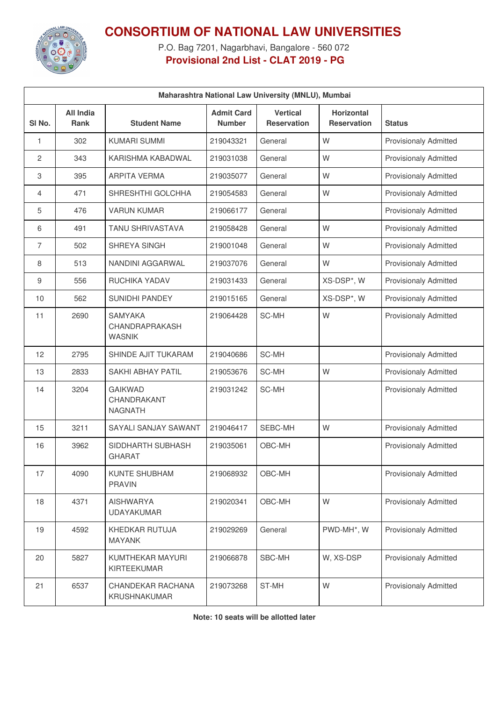

## **CONSORTIUM OF NATIONAL LAW UNIVERSITIES**

P.O. Bag 7201, Nagarbhavi, Bangalore - 560 072 **Provisional 2nd List - CLAT 2019 - PG**

| Maharashtra National Law University (MNLU), Mumbai |                                 |                                                   |                                    |                                       |                                         |                              |  |  |
|----------------------------------------------------|---------------------------------|---------------------------------------------------|------------------------------------|---------------------------------------|-----------------------------------------|------------------------------|--|--|
| SI <sub>No.</sub>                                  | <b>All India</b><br><b>Rank</b> | <b>Student Name</b>                               | <b>Admit Card</b><br><b>Number</b> | <b>Vertical</b><br><b>Reservation</b> | <b>Horizontal</b><br><b>Reservation</b> | <b>Status</b>                |  |  |
| 1                                                  | 302                             | <b>KUMARI SUMMI</b>                               | 219043321                          | General                               | W                                       | <b>Provisionaly Admitted</b> |  |  |
| 2                                                  | 343                             | KARISHMA KABADWAL                                 | 219031038                          | General                               | W                                       | <b>Provisionaly Admitted</b> |  |  |
| 3                                                  | 395                             | <b>ARPITA VERMA</b>                               | 219035077                          | General                               | W                                       | <b>Provisionaly Admitted</b> |  |  |
| 4                                                  | 471                             | SHRESHTHI GOLCHHA                                 | 219054583                          | General                               | W                                       | <b>Provisionaly Admitted</b> |  |  |
| 5                                                  | 476                             | <b>VARUN KUMAR</b>                                | 219066177                          | General                               |                                         | <b>Provisionaly Admitted</b> |  |  |
| 6                                                  | 491                             | <b>TANU SHRIVASTAVA</b>                           | 219058428                          | General                               | W                                       | <b>Provisionaly Admitted</b> |  |  |
| $\overline{7}$                                     | 502                             | <b>SHREYA SINGH</b>                               | 219001048                          | General                               | W                                       | <b>Provisionaly Admitted</b> |  |  |
| 8                                                  | 513                             | NANDINI AGGARWAL                                  | 219037076                          | General                               | W                                       | <b>Provisionaly Admitted</b> |  |  |
| 9                                                  | 556                             | RUCHIKA YADAV                                     | 219031433                          | General                               | XS-DSP*, W                              | <b>Provisionaly Admitted</b> |  |  |
| 10                                                 | 562                             | <b>SUNIDHI PANDEY</b>                             | 219015165                          | General                               | XS-DSP*, W                              | <b>Provisionaly Admitted</b> |  |  |
| 11                                                 | 2690                            | <b>SAMYAKA</b><br>CHANDRAPRAKASH<br><b>WASNIK</b> | 219064428                          | SC-MH                                 | W                                       | <b>Provisionaly Admitted</b> |  |  |
| 12                                                 | 2795                            | SHINDE AJIT TUKARAM                               | 219040686                          | SC-MH                                 |                                         | <b>Provisionaly Admitted</b> |  |  |
| 13                                                 | 2833                            | <b>SAKHI ABHAY PATIL</b>                          | 219053676                          | SC-MH                                 | W                                       | <b>Provisionaly Admitted</b> |  |  |
| 14                                                 | 3204                            | <b>GAIKWAD</b><br>CHANDRAKANT<br><b>NAGNATH</b>   | 219031242                          | SC-MH                                 |                                         | <b>Provisionaly Admitted</b> |  |  |
| 15                                                 | 3211                            | SAYALI SANJAY SAWANT                              | 219046417                          | SEBC-MH                               | W                                       | <b>Provisionaly Admitted</b> |  |  |
| 16                                                 | 3962                            | SIDDHARTH SUBHASH<br><b>GHARAT</b>                | 219035061                          | OBC-MH                                |                                         | <b>Provisionaly Admitted</b> |  |  |
| 17                                                 | 4090                            | KUNTE SHUBHAM<br><b>PRAVIN</b>                    | 219068932                          | OBC-MH                                |                                         | Provisionaly Admitted        |  |  |
| 18                                                 | 4371                            | <b>AISHWARYA</b><br><b>UDAYAKUMAR</b>             | 219020341                          | OBC-MH                                | W                                       | <b>Provisionaly Admitted</b> |  |  |
| 19                                                 | 4592                            | KHEDKAR RUTUJA<br><b>MAYANK</b>                   | 219029269                          | General                               | PWD-MH*, W                              | <b>Provisionaly Admitted</b> |  |  |
| 20                                                 | 5827                            | KUMTHEKAR MAYURI<br>KIRTEEKUMAR                   | 219066878                          | SBC-MH                                | W, XS-DSP                               | Provisionaly Admitted        |  |  |
| 21                                                 | 6537                            | CHANDEKAR RACHANA<br>KRUSHNAKUMAR                 | 219073268                          | ST-MH                                 | W                                       | Provisionaly Admitted        |  |  |

**Note: 10 seats will be allotted later**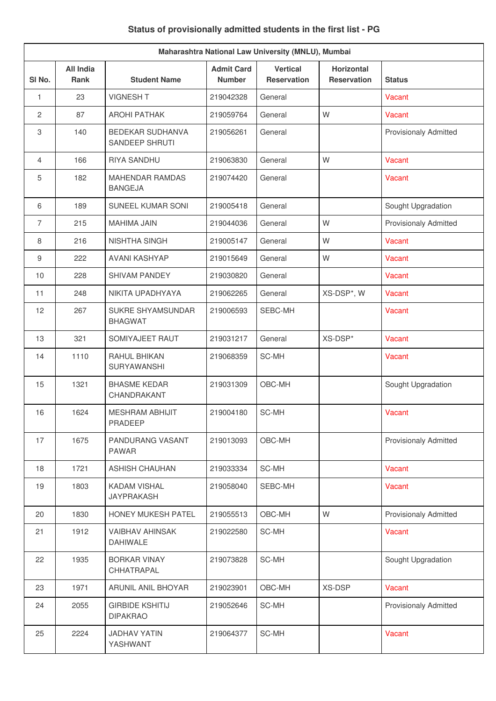| Maharashtra National Law University (MNLU), Mumbai |                                 |                                           |                                    |                                       |                                         |                              |  |
|----------------------------------------------------|---------------------------------|-------------------------------------------|------------------------------------|---------------------------------------|-----------------------------------------|------------------------------|--|
| SI No.                                             | <b>All India</b><br><b>Rank</b> | <b>Student Name</b>                       | <b>Admit Card</b><br><b>Number</b> | <b>Vertical</b><br><b>Reservation</b> | <b>Horizontal</b><br><b>Reservation</b> | Status                       |  |
| 1                                                  | 23                              | <b>VIGNESH T</b>                          | 219042328                          | General                               |                                         | Vacant                       |  |
| $\mathbf{2}$                                       | 87                              | <b>AROHI PATHAK</b>                       | 219059764                          | General                               | W                                       | Vacant                       |  |
| 3                                                  | 140                             | <b>BEDEKAR SUDHANVA</b><br>SANDEEP SHRUTI | 219056261                          | General                               |                                         | <b>Provisionaly Admitted</b> |  |
| $\overline{4}$                                     | 166                             | RIYA SANDHU                               | 219063830                          | General                               | W                                       | Vacant                       |  |
| 5                                                  | 182                             | <b>MAHENDAR RAMDAS</b><br><b>BANGEJA</b>  | 219074420                          | General                               |                                         | Vacant                       |  |
| 6                                                  | 189                             | SUNEEL KUMAR SONI                         | 219005418                          | General                               |                                         | Sought Upgradation           |  |
| $\overline{7}$                                     | 215                             | <b>MAHIMA JAIN</b>                        | 219044036                          | General                               | W                                       | Provisionaly Admitted        |  |
| 8                                                  | 216                             | <b>NISHTHA SINGH</b>                      | 219005147                          | General                               | W                                       | Vacant                       |  |
| $9\,$                                              | 222                             | <b>AVANI KASHYAP</b>                      | 219015649                          | General                               | W                                       | Vacant                       |  |
| 10                                                 | 228                             | <b>SHIVAM PANDEY</b>                      | 219030820                          | General                               |                                         | Vacant                       |  |
| 11                                                 | 248                             | NIKITA UPADHYAYA                          | 219062265                          | General                               | XS-DSP*, W                              | Vacant                       |  |
| 12                                                 | 267                             | SUKRE SHYAMSUNDAR<br><b>BHAGWAT</b>       | 219006593                          | SEBC-MH                               |                                         | Vacant                       |  |
| 13                                                 | 321                             | SOMIYAJEET RAUT                           | 219031217                          | General                               | XS-DSP*                                 | Vacant                       |  |
| 14                                                 | 1110                            | RAHUL BHIKAN<br>SURYAWANSHI               | 219068359                          | SC-MH                                 |                                         | Vacant                       |  |
| 15                                                 | 1321                            | <b>BHASME KEDAR</b><br>CHANDRAKANT        | 219031309                          | OBC-MH                                |                                         | Sought Upgradation           |  |
| 16                                                 | 1624                            | <b>MESHRAM ABHIJIT</b><br>PRADEEP         | 219004180                          | SC-MH                                 |                                         | Vacant                       |  |
| 17                                                 | 1675                            | PANDURANG VASANT<br><b>PAWAR</b>          | 219013093                          | OBC-MH                                |                                         | <b>Provisionaly Admitted</b> |  |
| 18                                                 | 1721                            | <b>ASHISH CHAUHAN</b>                     | 219033334                          | SC-MH                                 |                                         | Vacant                       |  |
| 19                                                 | 1803                            | <b>KADAM VISHAL</b><br><b>JAYPRAKASH</b>  | 219058040                          | SEBC-MH                               |                                         | Vacant                       |  |
| 20                                                 | 1830                            | HONEY MUKESH PATEL                        | 219055513                          | OBC-MH                                | W                                       | Provisionaly Admitted        |  |
| 21                                                 | 1912                            | <b>VAIBHAV AHINSAK</b><br><b>DAHIWALE</b> | 219022580                          | SC-MH                                 |                                         | Vacant                       |  |
| 22                                                 | 1935                            | <b>BORKAR VINAY</b><br>CHHATRAPAL         | 219073828                          | SC-MH                                 |                                         | Sought Upgradation           |  |
| 23                                                 | 1971                            | ARUNIL ANIL BHOYAR                        | 219023901                          | OBC-MH                                | XS-DSP                                  | Vacant                       |  |
| 24                                                 | 2055                            | <b>GIRBIDE KSHITIJ</b><br><b>DIPAKRAO</b> | 219052646                          | SC-MH                                 |                                         | <b>Provisionaly Admitted</b> |  |
| 25                                                 | 2224                            | <b>JADHAV YATIN</b><br>YASHWANT           | 219064377                          | SC-MH                                 |                                         | Vacant                       |  |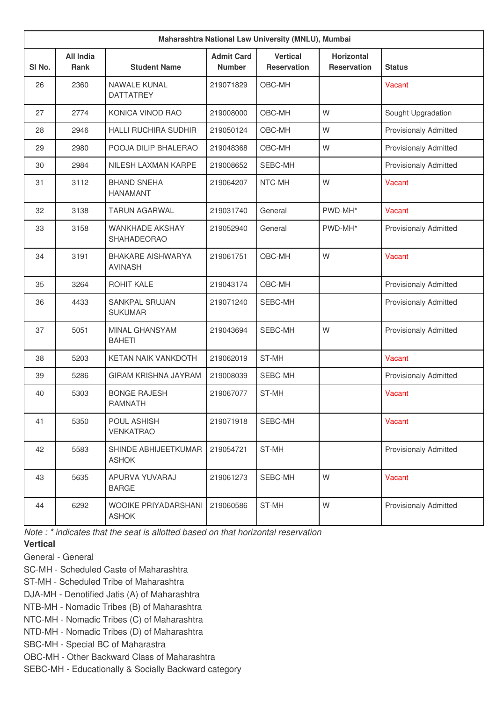| Maharashtra National Law University (MNLU), Mumbai |                          |                                            |                                    |                                       |                                         |                              |  |
|----------------------------------------------------|--------------------------|--------------------------------------------|------------------------------------|---------------------------------------|-----------------------------------------|------------------------------|--|
| SI No.                                             | <b>All India</b><br>Rank | <b>Student Name</b>                        | <b>Admit Card</b><br><b>Number</b> | <b>Vertical</b><br><b>Reservation</b> | <b>Horizontal</b><br><b>Reservation</b> | <b>Status</b>                |  |
| 26                                                 | 2360                     | <b>NAWALE KUNAL</b><br><b>DATTATREY</b>    | 219071829                          | OBC-MH                                |                                         | Vacant                       |  |
| 27                                                 | 2774                     | KONICA VINOD RAO                           | 219008000                          | OBC-MH                                | W                                       | Sought Upgradation           |  |
| 28                                                 | 2946                     | <b>HALLI RUCHIRA SUDHIR</b>                | 219050124                          | OBC-MH                                | W                                       | <b>Provisionaly Admitted</b> |  |
| 29                                                 | 2980                     | POOJA DILIP BHALERAO                       | 219048368                          | OBC-MH                                | W                                       | <b>Provisionaly Admitted</b> |  |
| 30                                                 | 2984                     | NILESH LAXMAN KARPE                        | 219008652                          | SEBC-MH                               |                                         | <b>Provisionaly Admitted</b> |  |
| 31                                                 | 3112                     | <b>BHAND SNEHA</b><br><b>HANAMANT</b>      | 219064207                          | NTC-MH                                | W                                       | Vacant                       |  |
| 32                                                 | 3138                     | <b>TARUN AGARWAL</b>                       | 219031740                          | General                               | PWD-MH*                                 | Vacant                       |  |
| 33                                                 | 3158                     | WANKHADE AKSHAY<br><b>SHAHADEORAO</b>      | 219052940                          | General                               | PWD-MH*                                 | <b>Provisionaly Admitted</b> |  |
| 34                                                 | 3191                     | <b>BHAKARE AISHWARYA</b><br><b>AVINASH</b> | 219061751                          | OBC-MH                                | W                                       | Vacant                       |  |
| 35                                                 | 3264                     | ROHIT KALE                                 | 219043174                          | OBC-MH                                |                                         | <b>Provisionaly Admitted</b> |  |
| 36                                                 | 4433                     | <b>SANKPAL SRUJAN</b><br><b>SUKUMAR</b>    | 219071240                          | SEBC-MH                               |                                         | <b>Provisionaly Admitted</b> |  |
| 37                                                 | 5051                     | <b>MINAL GHANSYAM</b><br><b>BAHETI</b>     | 219043694                          | SEBC-MH                               | W                                       | <b>Provisionaly Admitted</b> |  |
| 38                                                 | 5203                     | KETAN NAIK VANKDOTH                        | 219062019                          | ST-MH                                 |                                         | Vacant                       |  |
| 39                                                 | 5286                     | <b>GIRAM KRISHNA JAYRAM</b>                | 219008039                          | SEBC-MH                               |                                         | <b>Provisionaly Admitted</b> |  |
| 40                                                 | 5303                     | <b>BONGE RAJESH</b><br>RAMNATH             | 219067077                          | ST-MH                                 |                                         | Vacant                       |  |
| 41                                                 | 5350                     | POUL ASHISH<br><b>VENKATRAO</b>            | 219071918                          | SEBC-MH                               |                                         | Vacant                       |  |
| 42                                                 | 5583                     | SHINDE ABHIJEETKUMAR<br><b>ASHOK</b>       | 219054721                          | ST-MH                                 |                                         | Provisionaly Admitted        |  |
| 43                                                 | 5635                     | APURVA YUVARAJ<br><b>BARGE</b>             | 219061273                          | SEBC-MH                               | W                                       | Vacant                       |  |
| 44                                                 | 6292                     | WOOIKE PRIYADARSHANI<br><b>ASHOK</b>       | 219060586                          | ST-MH                                 | W                                       | Provisionaly Admitted        |  |

*Note : \* indicates that the seat is allotted based on that horizontal reservation*

## **Vertical**

- General General
- SC-MH Scheduled Caste of Maharashtra
- ST-MH Scheduled Tribe of Maharashtra
- DJA-MH Denotified Jatis (A) of Maharashtra
- NTB-MH Nomadic Tribes (B) of Maharashtra
- NTC-MH Nomadic Tribes (C) of Maharashtra
- NTD-MH Nomadic Tribes (D) of Maharashtra
- SBC-MH Special BC of Maharastra
- OBC-MH Other Backward Class of Maharashtra
- SEBC-MH Educationally & Socially Backward category